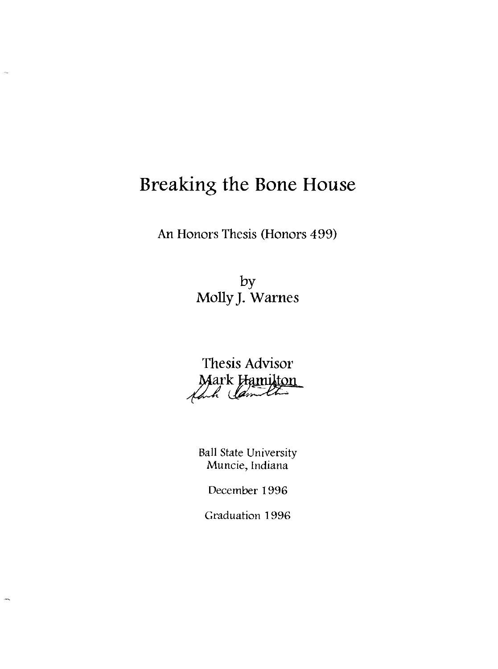# **Breakinz the Bone House**

in.

 $\sim$ 

An Honors Thesis (Honors 499)

by Molly J. Warnes



Ball State University Muncie, Indiana

December 1996

Graduation 1996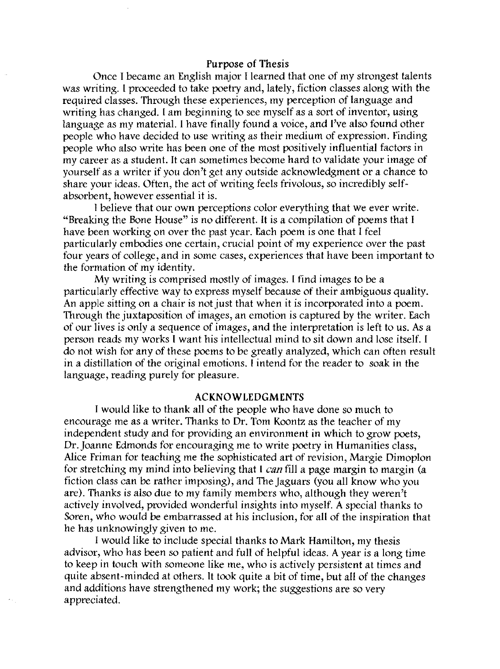#### Purpose of Thesis

Once I became an English major I learned that one of my strongest talents was writing. I proceeded to take poetry and, lately, fiction classes along with the required classes. Through these experiences, my perception of language and writing has changed. I am beginning to see myself as a sort of inventor, using language as my material. I have finally found a voice, and I've also found other people who have decided to use writing as their medium of expression. Finding people who also write has been one of the most positively influential factors in my career as a student. It can sometimes become hard to validate your image of yourself as a writer if you don't get any outside acknowledgment or a chance to share your ideas. Often, the act of writing feels frivolous, so incredibly selfabsorbent, however essential it is.

I believe that our own perceptions color everything that we ever write. "Breaking the Bone House" is no different. It is a compilation of poems that I have been working on over the past year. Each poem is one that I feel particularly embodies one certain, crucial point of my experience over the past four years of college, and in some cases, experiences that have been important to the formation of my identity.

My writing is comprised mostly of images. I find images to be a particularly effective way to express myself because of their ambiguous quality. An apple sitting on a chair is not just that when it is incorporated into a poem. Through the juxtaposition of images, an emotion is captured by the writer. Each of our lives is only a sequence of images, and the interpretation is left to us. As a person reads my works I want his intellectual mind to sit down and lose itself. I do not wish for any of these poems to be greatly analyzed, which can often result in a distillation of the original emotions. I intend for the reader to soak in the language, reading purely for pleasure.

#### ACKNOWLEDGMENTS

I would like to thank all of the people who have done so much to encourage me as a writer. Thanks to Dr. Tom Koontz as the teacher of my independent study and for providing an environment in which to grow poets, Dr. Joanne Edmonds for encouraging me to write poetry in Humanities class, Alice Friman for teaching me the sophisticated art of revision, Margie Dimoplon for stretching my mind into believing that I *can* fill a page margin to margin (a fiction class can be rather imposing), and The Jaguars (you all know who you are). Thanks is also due to my family members who, although they weren't actively involved, provided wonderful insights into myself. A special thanks to Soren, who would be embarrassed at his inclusion, for all of the inspiration that he has unknowingly given to me.

I would like to include special thanks to Mark Hamilton, my thesis advisor, who has been so patient and full of helpful ideas. A year is a long time to keep in touch with someone like me, who is actively persistent at times and quite absent-minded at others. It took quite a bit of time, but all of the changes and additions have strengthened my work; the suggestions are so very appreciated.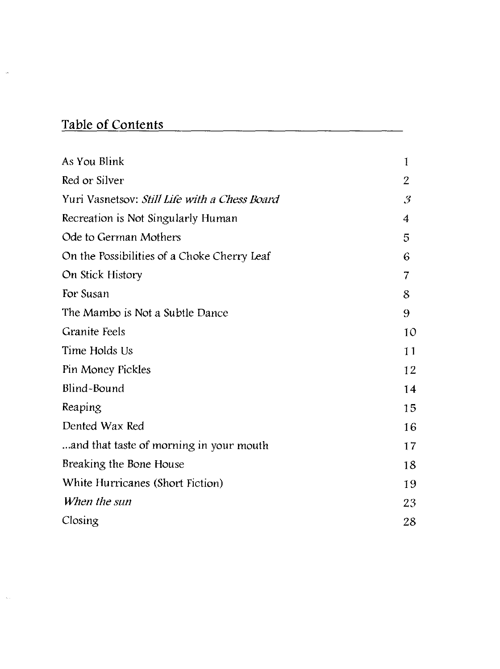# **Table of Contents**

 $\frac{1}{2}$ 

| As You Blink                                  | $\mathbf{I}$                |
|-----------------------------------------------|-----------------------------|
| Red or Silver                                 | $\overline{2}$              |
| Yuri Vasnetsov: Still Life with a Chess Board | $\mathcal{S}_{\mathcal{S}}$ |
| Recreation is Not Singularly Human            | 4                           |
| Ode to German Mothers                         | 5                           |
| On the Possibilities of a Choke Cherry Leaf   | 6                           |
| On Stick History                              | 7                           |
| For Susan                                     | 8                           |
| The Mambo is Not a Subtle Dance               | 9                           |
| <b>Granite Feels</b>                          | 10                          |
| Time Holds Us                                 | 11                          |
| Pin Money Pickles                             | 12                          |
| Blind-Bound                                   | 14                          |
| Reaping                                       | 15                          |
| Dented Wax Red                                | 16                          |
| and that taste of morning in your mouth       | 17                          |
| Breaking the Bone House                       | 18                          |
| White Hurricanes (Short Fiction)              | 19                          |
| When the sun                                  | 23                          |
| Closing                                       | 28                          |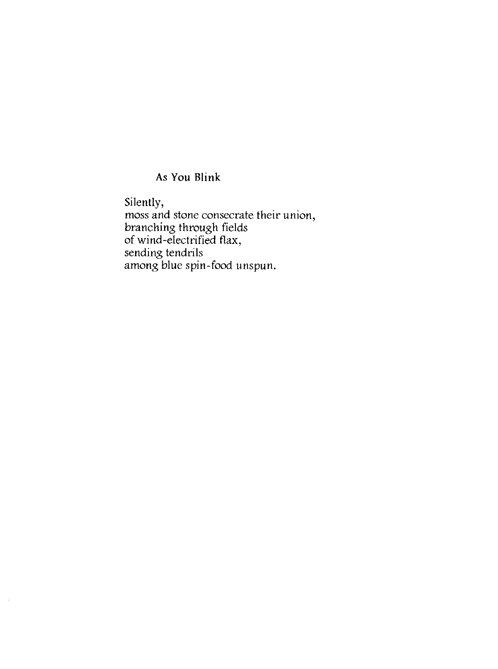# As **You Blink**

 $\bar{z}$ 

Silently, moss and stone consecrate their union, branching through fields of wind-electrified flax, sending tendrils among blue spin-food unspun.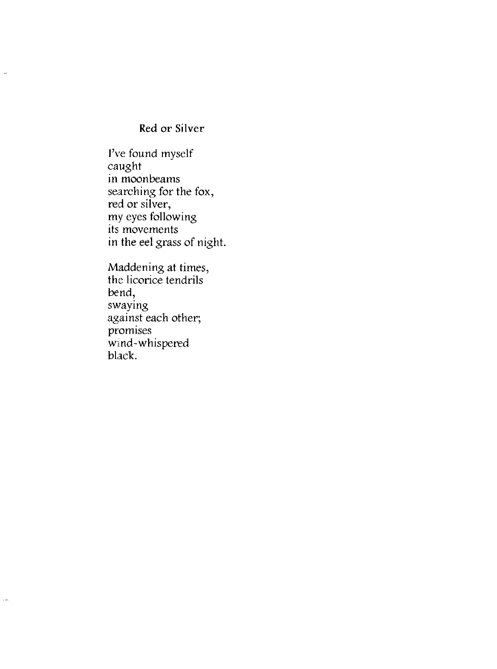# Red or Silver

J.

 $\mathcal{L}$ 

I've found myself caught in moonbeams searching for the fox, red or silver, my eyes following its movements in the eel grass of night.

Maddening at times, the licorice tendrils bend, swaying against each other; promises wind-whispered black.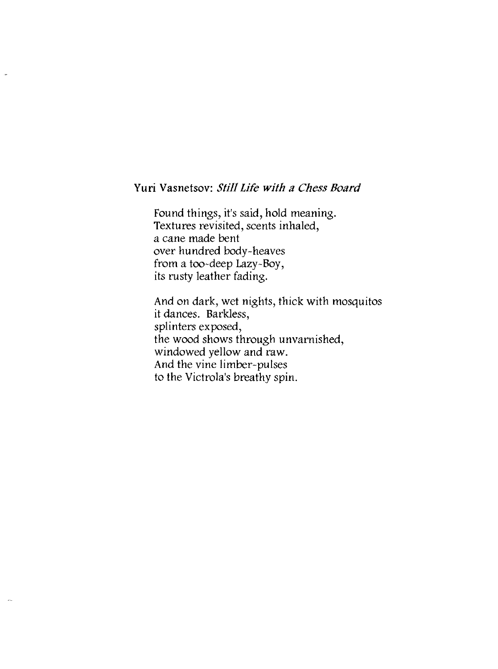### Yuri Vasnetsov: *Still Life with a Chess Board*

Found things, it's said, hold meaning. Textures revisited, scents inhaled, a cane made bent over hundred body-heaves from a too-deep Lazy-Boy, its rusty leather fading.

And on dark, wet nights, thick with mosquitos it dances. Barkless, splinters exposed, the wood shows through unvarnished, windowed yellow and raw. And the vine limber-pulses to the Victrola's breathy spin.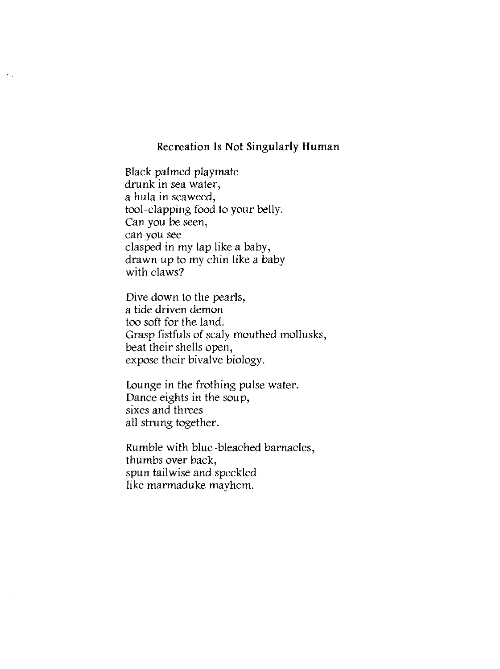### Recreation Is Not Singularly Human

Black palmed playmate drunk in sea water, a hula in seaweed, tool-clapping food to your belly. Can you be seen, can you see clasped in my lap like a baby, drawn up to my chin like a baby with claws?

les.

Dive down to the pearls, a tide driven demon too soft for the land. Grasp fistfuls of scaly mouthed mollusks, beat their shells open, expose their bivalve biology.

Lounge in the frothing pulse water. Dance eights in the soup, sixes and threes all strung together.

Rumble with blue-bleached barnacles, thumbs over back, spun tail wise and speckled like marmaduke mayhem.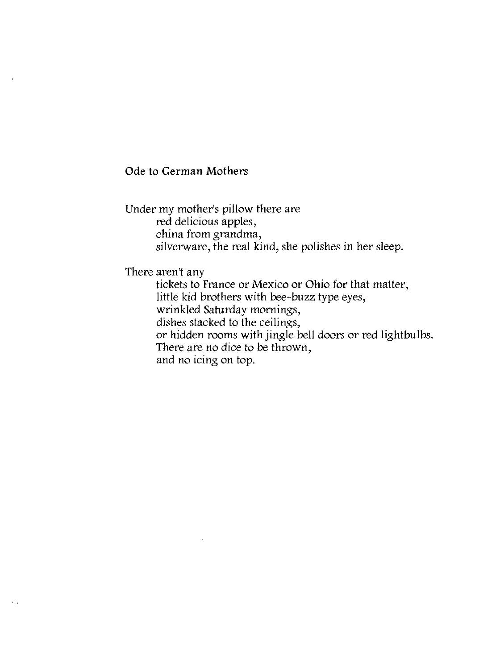### Ode to German Mothers

Under my mother's pillow there are red delicious apples, china from grandma, silverware, the real kind, she polishes in her sleep.

There aren't any

tickets to France or Mexico or Ohio for that matter, little kid brothers with bee-buzz type eyes, wrinkled Saturday mornings, dishes stacked to the ceilings, or hidden rooms with jingle bell doors or red lightbulbs. There are no dice to be thrown, and no icing on top.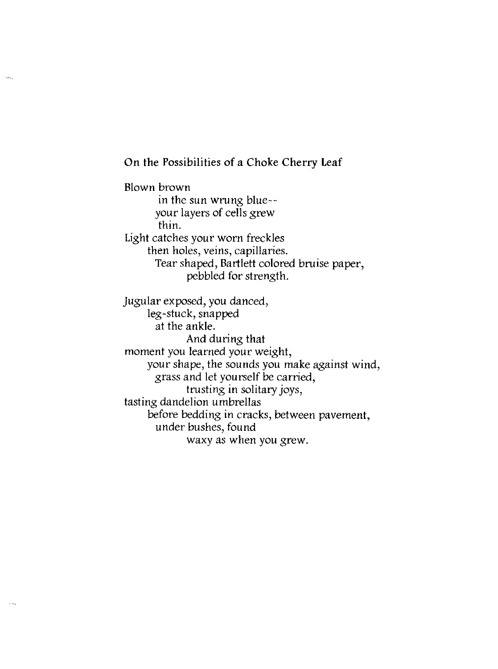On the Possibilities of a Choke Cherry Leaf

.<br>Newsl

Blown brown in the sun wrung blue- your layers of cells grew thin. Light catches your worn freckles then holes, veins, capillaries. Tear shaped, Bartlett colored bruise paper, pebbled for strength.

Jugular exposed, you danced, leg-stuck, snapped at the ankle. And during that moment you learned your weight, your shape, the sounds you make against wind, grass and let yourself be carried, trusting in solitary joys, tasting dandelion umbrellas before bedding in cracks, between pavement, under bushes, found waxy as when you grew.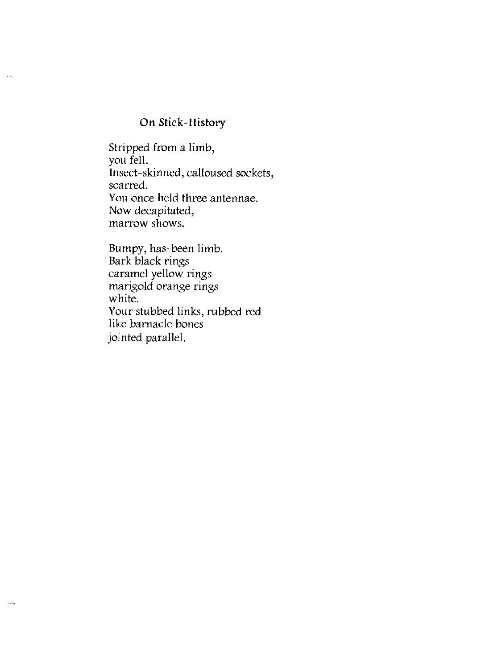## **On** Stick-History

 $\omega_{\mathcal{F}_\mathrm{d}}$ 

 $\lambda$  and

Stripped from a limb, you fell. Insect-skinned, calloused sockets, scarred. You once held three antennae. Now decapitated, marrow shows.

Bumpy, has-been limb. Bark black rings caramel yellow rings marigold orange rings white. Your stubbed links, rubbed red like barnacle bones jointed parallel.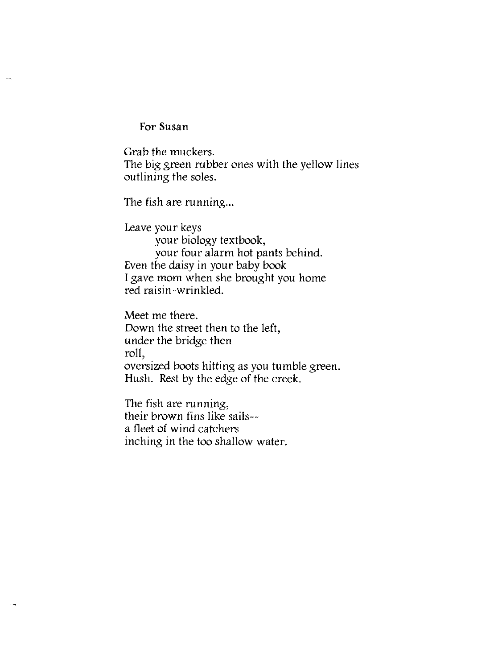For Susan

لينبذ

Grab the muckers. The big green rubber ones with the yellow lines outlining the soles.

The fish are running...

Leave your keys your biology textbook, your four alarm hot pants behind. Even the daisy in your baby book I gave mom when she brought you home red raisin-wrinkled.

Meet me there. Down the street then to the left, under the bridge then roll, oversized boots hitting as you tumble green. Hush. Rest by the edge of the creek.

The fish are running, their brown fins like sails- a fleet of wind catchers inching in the too shallow water.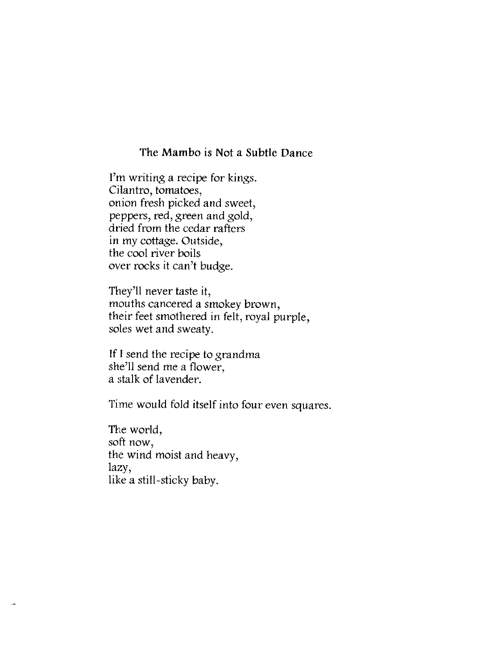### The Mambo is Not a Subtle Dance

I'm writing a recipe for kings. Cilantro, tomatoes, onion fresh picked and sweet, peppers, red, green and gold, dried from the cedar rafters in my cottage. Outside, the cool river boils over rocks it can't budge.

They'll never taste it, mouths cancered a smokey brown, their feet smothered in felt, royal purple, soles wet and sweaty.

If I send the recipe to grandma she'll send me a flower, a stalk of lavender.

Time would fold itself into four even squares.

The world, soft now, the wind moist and heavy, lazy, like a still-sticky baby.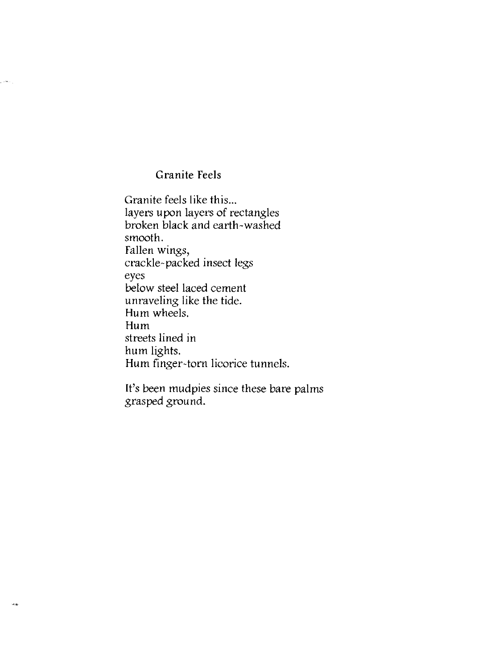## Granite Feels

Granite feels like this... layers upon layers of rectangles broken black and earth-washed smooth. Fallen wings, crackle-packed insect legs eyes below steel laced cement unraveling like the tide. Hum wheels. Hum streets lined in hum lights. Hum finger-torn licorice tunnels.

It's been mudpies since these bare palms grasped ground.

 $\omega_{\rm{max}}$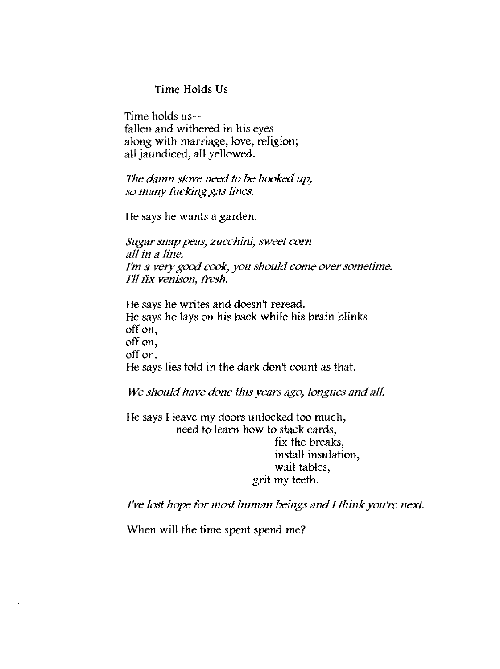### Time Holds Us

Time holds us- fallen and withered in his eyes along with marriage, love, religion; all jaundiced, all yellowed.

*The damn stove need to* be *hooked up, so many fucking gas lines.* 

He says he wants a garden.

*Sugar snap peas, zucchini, sweet corn all in a line. I'm a very* good *cook, you should come over sometime. I'll fix venison, fresh.* 

He says he writes and doesn't reread. He says he lays on his back while his brain blinks off on, off on, off on. He says lies told in the dark don't count as that.

*We should have done this years £{go, tongues and all* 

He says I leave my doors unlocked too much, need to learn how to stack cards, fix the breaks, install insulation, wait tables, grit my teeth.

*I've lost hope for most human beings and I think you're next.* 

When will the time spent spend me?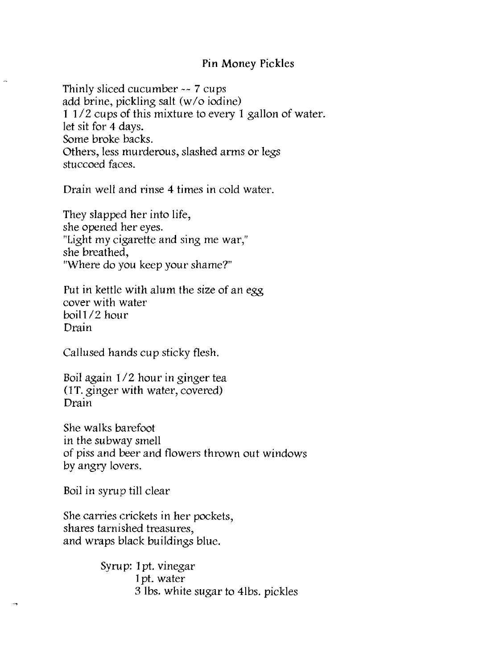### Pin Money Pickles

Thinly sliced cucumber -- 7 cups add brine, pickling salt (w/o iodine)  $1/2$  cups of this mixture to every 1 gallon of water. let sit for 4 days. Some broke backs. Others, less murderous, slashed arms or legs stuccoed faces.

Drain well and rinse 4 times in cold water.

They slapped her into life, she opened her eyes. "Light my cigarette and sing me war," she breathed, "Where do you keep your shame?"

Put in kettle with alum the size of an egg cover with water boil *112* hour Drain

Callused hands cup sticky flesh.

Boil again *liZ* hour in ginger tea (IT. ginger with water, covered) Drain

She walks barefoot in the subway smell of piss and beer and flowers thrown out windows by angry lovers.

Boil in syrup till clear

She carries crickets in her pockets, shares tarnished treasures, and wraps black buildings blue.

> Syrup: 1pt. vinegar 1 pt. water 3 Ibs. white sugar to 4lbs. pickles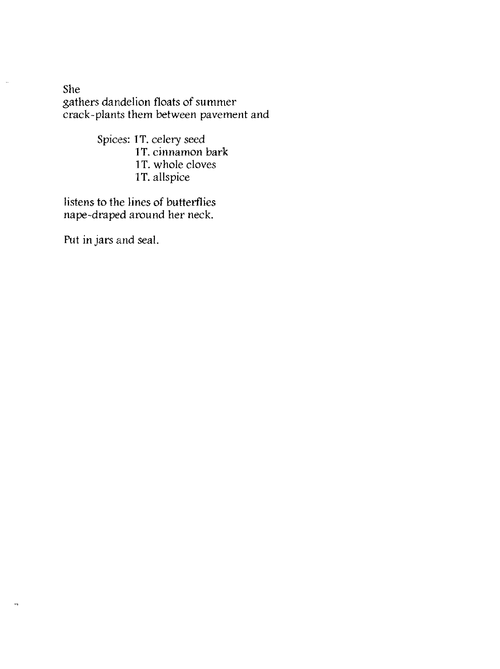She gathers dandelion floats of summer crack-plants them between pavement and

> Spices: 1T. celery seed 1T. cinnamon bark 1T. whole cloves 1T. allspice

listens to the lines of butterflies nape-draped around her neck.

Put in jars and seal.

 $\bar{\mathcal{A}}$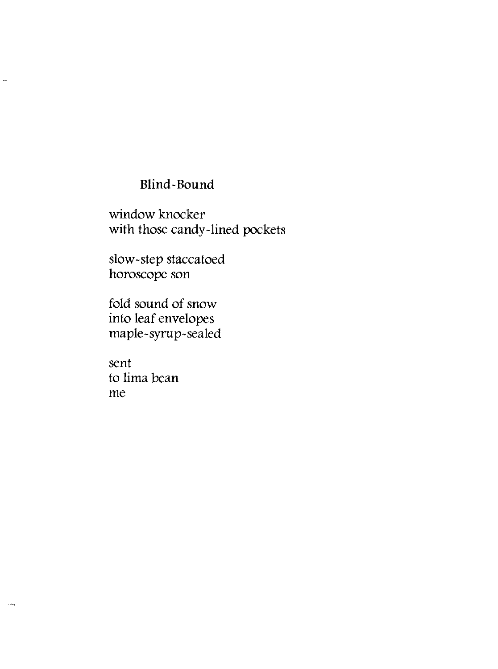# Blind-Bound

window knocker with those candy-lined pockets

slow-step staccatoed horoscope son

fold sound of snow into leaf envelopes maple-syrup-sealed

sent to lima bean me

j,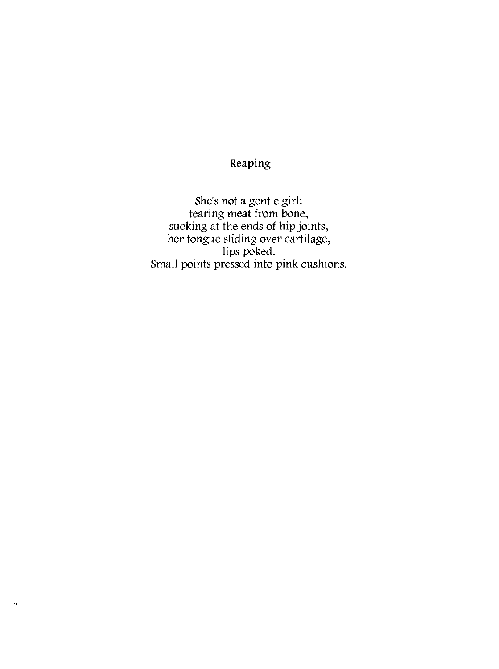Reaping

 $\ddotsc$ 

She's not a gentle girl: tearing meat from bone, sucking at the ends of hip joints, her tongue sliding over cartilage, lips poked. Small points pressed into pink cushions.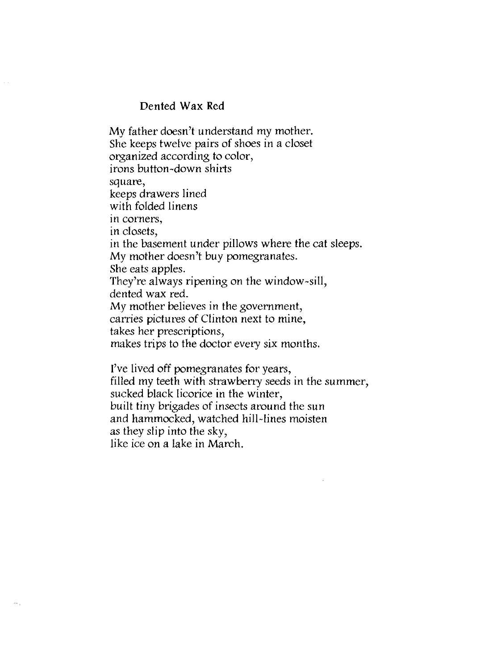### Dented Wax Red

My father doesn't understand my mother. She keeps twelve pairs of shoes in a closet organized according to color, irons button-down shirts square, keeps drawers lined with folded linens in corners, in closets, in the basement under pillows where the cat sleeps. My mother doesn't buy pomegranates. She eats apples. They're always ripening on the window-sill, dented wax red. My mother believes in the government, carries pictures of Clinton next to mine, takes her prescriptions, makes trips to the doctor every six months. I've lived off pomegranates for years, filled my teeth with strawberry seeds in the summer, sucked black licorice in the winter,

built tiny brigades of insects around the sun

and hammocked, watched hill-lines moisten

as they slip into the sky,

like ice on a lake in March.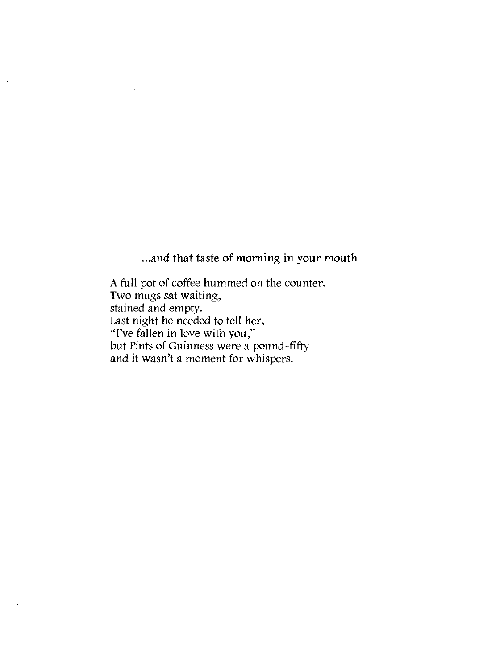... and that taste of morning in your mouth

A full pot of coffee hummed on the counter. Two mugs sat waiting, stained and empty. Last night he needed to tell her, "I've fallen in love with you," but Pints of Guinness were a pound-fifty and it wasn't a moment for whispers.

i<br>San

 $\sim$   $\sim$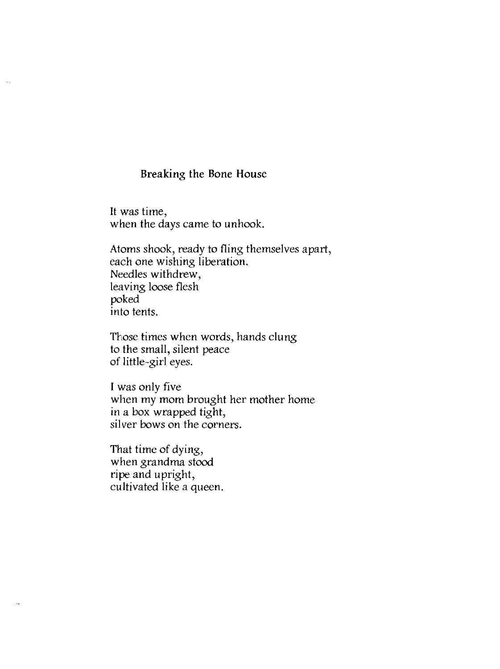### Breaking the Bone House

It was time, when the days came to unhook.

 $\omega_{\rm g}$ 

Atoms shook, ready to fling themselves apart, each one wishing liberation. Needles withdrew, leaving loose flesh poked into tents.

Those times when words, hands clung to the small, silent peace of little-girl eyes.

I was only five when my mom brought her mother home in a box wrapped tight, silver bows on the corners.

That time of dying, when grandma stood ripe and upright, cultivated like a queen.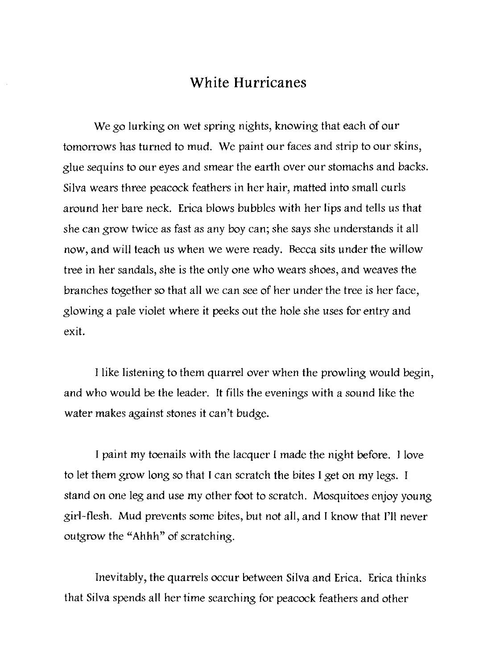# **White Hurricanes**

We go lurking on wet spring nights, knowing that each of our tomorrows has turned to mud. We paint our faces and strip to our skins, glue sequins to our eyes and smear the earth over our stomachs and backs. Silva wears three peacock feathers in her hair, matted into small curls around her bare neck. Erica blows bubbles with her lips and tells us that she can grow twice as fast as any boy can; she says she understands it all now, and will teach us when we were ready. Becca sits under the willow tree in her sandals, she is the only one who wears shoes, and weaves the branches together so that all we can *see* of her under the tree is her face, glowing a pale violet where it peeks out the hole she uses for entry and exit.

I like listening to them quarrel over when the prowling would begin, and who would be the leader. It fills the evenings with a sound like the water makes against stones it can't budge.

I paint my toenails with the lacquer I made the night before. I love to let them grow long so that I can scratch the bites I get on my legs. I stand on one leg and use my other foot to scratch. Mosquitoes enjoy young girl-flesh. Mud prevents some bites, but not all, and I know that I'll never outgrow the "Ahhh" of scratching.

Inevitably, the quarrels occur between Silva and Erica. Erica thinks that Silva spends all her time searching for peacock feathers and other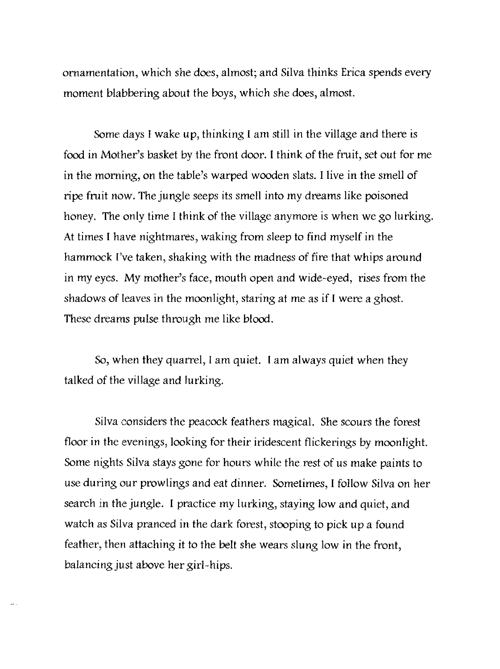ornamentation, which she does, almost; and Silva thinks Erica spends every moment blabbering about the boys, which she does, almost.

Some days I wake up, thinking I am still in the village and there is food in Mother's basket by the front door. I think of the fruit, set out for me in the morning, on the table's warped wooden slats. I live in the smell of ripe fruit now. The jungle seeps its smell into my dreams like poisoned honey. The only time I think of the village anymore is when we go lurking. At times I have nightmares, waking from sleep to find myself in the hammock I've taken, shaking with the madness of fire that whips around in my eyes. My mother's face, mouth open and wide-eyed, rises from the shadows of leaves in the moonlight, staring at me as if I were a ghost. These dreams pulse through me like blood.

So, when they quarrel, I am quiet. I am always quiet when they talked of the village and lurking.

Silva considers the peacock feathers magical. She scours the forest floor in the evenings, looking for their iridescent flickerings by moonlight. Some nights Silva stays gone for hours while the rest of us make paints to use during our prowlings and eat dinner. Sometimes, I follow Silva on her search in the jungle. I practice my lurking, staying low and quiet, and watch as Silva pranced in the dark forest, stooping to pick up a found feather, then attaching it to the belt she wears slung low in the front, balancing just above her girl-hips.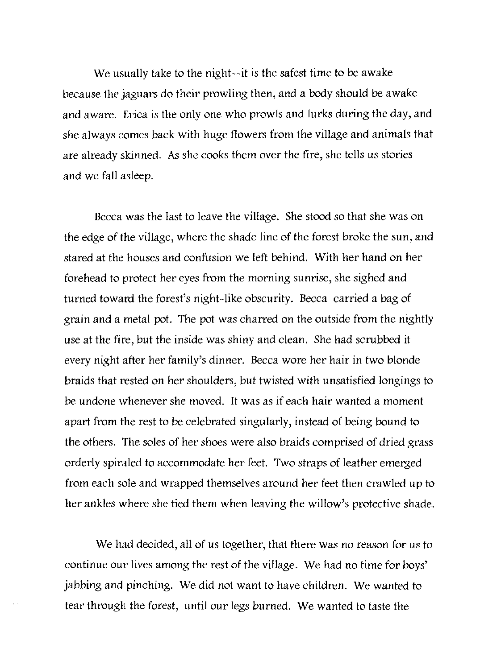We usually take to the night--it is the safest time to be awake because the jaguars do their prowling then, and a body should be awake and aware. Erica is the only one who prowls and lurks during the day, and she always comes back with huge flowers from the village and animals that are already skinned. As she cooks them over the fire, she tells us stories and we fall asleep.

Becca was the last to leave the village. She stood so that she was on the edge of the village, where the shade line of the forest broke the sun, and stared at the houses and confusion we left behind. With her hand on her forehead to protect her eyes from the morning sunrise, she sighed and turned toward the forest's night-like obscurity. Becca carried a bag of grain and a metal pot. The pot was charred on the outside from the nightly use at the fire, but the inside was shiny and clean. She had scrubbed it every night after her family's dinner. Becca wore her hair in two blonde braids that rested on her shoulders, but twisted with unsatisfied longings to be undone whenever she moved. It was as if each hair wanted a moment apart from the rest to be celebrated singularly, instead of being bound to the others. The soles of her shoes were also braids comprised of dried grass orderly spiraled to accommodate her feet. Two straps of leather emerged from each sole and wrapped themselves around her feet then crawled up to her ankles where she tied them when leaving the willow's protective shade.

We had decided, all of us together, that there was no reason for us to continue our lives among the rest of the village. We had no time for boys' jabbing and pinching. We did not want to have children. We wanted to tear through the forest, until our legs burned. We wanted to taste the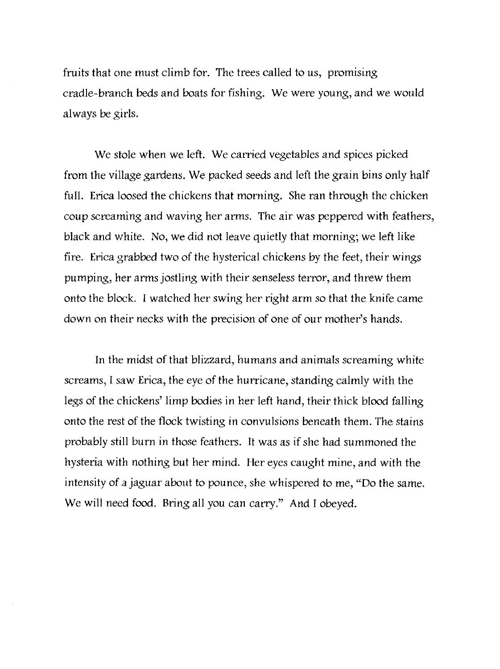fruits that one must climb for. The trees called to us, promising cradle-branch beds and boats for fishing. We were young, and we would always be girls.

We stole when we left. We carried vegetables and spices picked from the village gardens. We packed seeds and left the grain bins only half full. Erica loosed the chickens that morning. She ran through the chicken coup screaming and waving her arms. The air was peppered with feathers, black and white. No, we did not leave quietly that morning; we left like fire. Erica grabbed two of the hysterical chickens by the feet, their wings pumping, her arms jostling with their senseless terror, and threw them onto the block. I watched her swing her right arm so that the knife came down on their necks with the precision of one of our mother's hands.

In the midst of that blizzard, humans and animals screaming white screams, I saw Erica, the eye of the hurricane, standing calmly with the legs of the chickens' limp bodies in her left hand, their thick blood falling onto the rest of the flock twisting in convulsions beneath them. The stains probably still burn in those feathers. It was as if she had summoned the hysteria with nothing but her mind. Her eyes caught mine, and with the intensity of a jaguar about to pounce, she whispered to me, "Do the same. We will need food. Bring all you can carry." And I obeyed.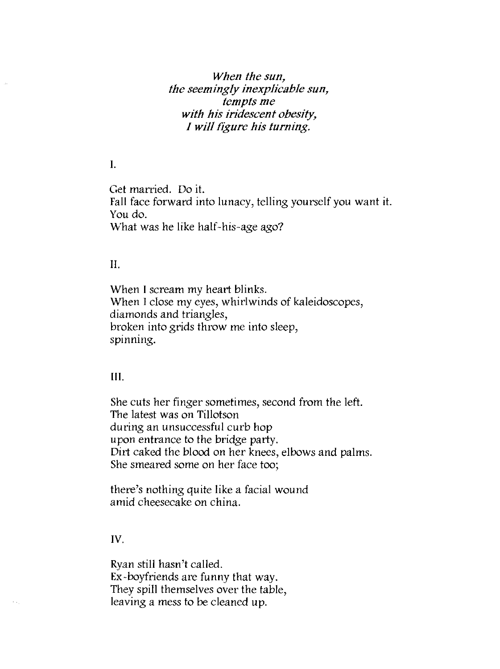*When the sun, the seemingly inexplicable sun, tempts me with his iridescent obesity, 1 will figure his turning.* 

### I.

Get married. Do it. Fall face forward into lunacy, telling yourself you want it. You do. What was he like half-his-age ago?

### II.

When I scream my heart blinks. When I close my eyes, whirlwinds of kaleidoscopes, diamonds and triangles, broken into grids throw me into sleep, spinning.

### **III.**

She cuts her finger sometimes, second from the left. The latest was on Tillotson during an unsuccessful curb hop upon entrance to the bridge party. Dirt caked the blood on her knees, elbows and palms. She smeared some on her face too;

there's nothing quite like a facial wound amid cheesecake on china.

### IV.

Ryan still hasn't called. Ex-boyfriends are funny that way. They spill themselves over the table, leaving a mess to be cleaned up.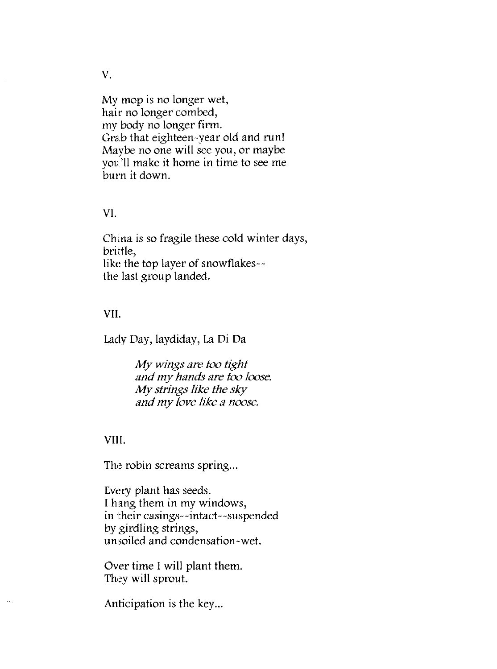My mop is no longer wet, hair no longer combed, my body no longer firm. Grab that eighteen-year old and run! Maybe no one will see you, or maybe you'll make it home in time to see me burn it down.

### VI.

China is so fragile these cold winter days, brittle, like the top layer of snowflakes- the last group landed.

### VII.

Lady Day, laydiday, La Di Da

My *wings are too tight and my hands are too loose.*  My *strings like the sky and my love like a noose.* 

### VIII.

The robin screams spring...

Every plant has seeds. I hang them in my windows, in their casings--intact--suspended by girdling strings, unsoiled and condensation-wet.

Over time I will plant them. They will sprout.

Anticipation is the key...

V.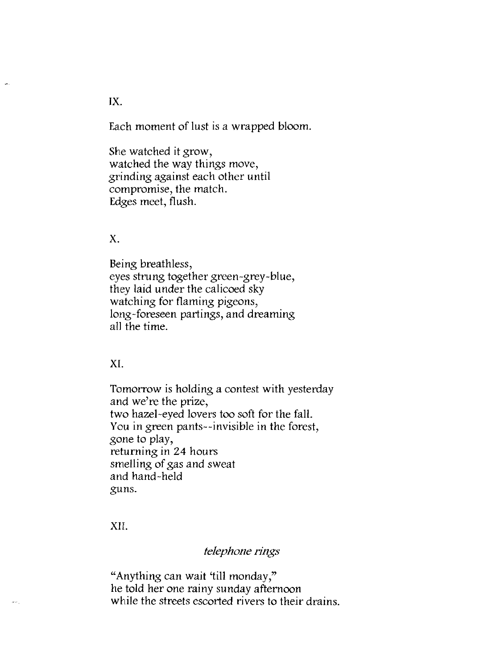Each moment of lust is a wrapped bloom.

She watched it grow, watched the way things move, grinding against each other until compromise, the match. Edges meet, flush.

### X.

Being breathless, eyes strung together green-grey-blue, they laid under the calicoed sky watching for flaming pigeons, long-foreseen partings, and dreaming all the time.

XI.

Tomorrow is holding a contest with yesterday and we're the prize, two hazel-eyed lovers too soft for the fall. You in green pants--invisible in the forest, gone to play, returning in 24 hours smelling of gas and sweat and hand-held guns.

XI!.

### *telephone rings*

"Anything can wait 'till monday," he told her one rainy sunday afternoon while the streets escorted rivers to their drains.

IX.

į.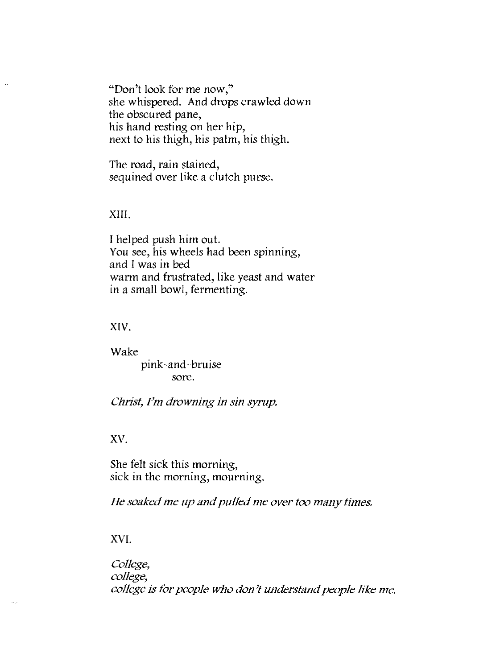"Don't look for me now,"<br>she whispered. And drops crawled down the obscured pane, his hand resting on her hip, next to his thigh, his palm, his thigh.

The road, rain stained, sequined over like a clutch purse.

### XIII.

I helped push him out. You see, his wheels had been spinning, and I was in bed warm and frustrated, like yeast and water in a small bowl, fermenting.

### XIV.

Wake pink-and-bruise sore.

*Glrist, I'm drowning in sin syrup.* 

### xv.

She felt sick this morning, sick in the morning, mourning.

*He soaked me up and pulkd me over too many times.* 

XVI.

*College, college, college is for people who don't understand people like me.*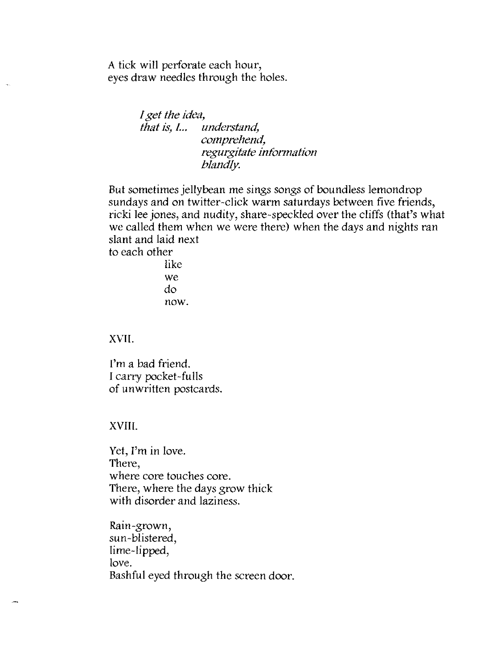A tick will perforate each hour, eyes draw needles through the holes.

> *I get the idea, that is, L. understand, comprehend, regurgitate information blandly.*

But sometimes jellybean me sings songs of boundless lemondrop sundays and on twitter-click warm saturdays between five friends, ricki lee jones, and nudity, share-speckled over the cliffs (that's what we called them when we were there) when the days and nights ran slant and laid next to each other

> like we do now.

XVII.

ù,

I'm a bad friend. I carry pocket-fulls of unwritten postcards.

### XVIII.

Yet, I'm in love. There, where core touches core. There, where the days grow thick with disorder and laziness.

Rain-grown, sun -blistered, lime-lipped, love. Bashful eyed through the screen door.